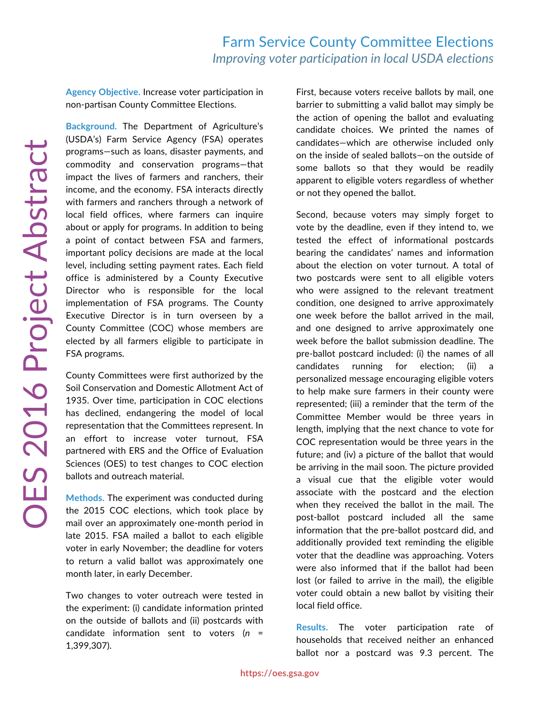**Agency Objective.** Increase voter participation in non-partisan County Committee Elections.

**Background.** The Department of Agriculture's (USDA's) Farm Service Agency (FSA) operates programs—such as loans, disaster payments, and commodity and conservation programs—that impact the lives of farmers and ranchers, their income, and the economy. FSA interacts directly with farmers and ranchers through a network of local field offices, where farmers can inquire about or apply for programs. In addition to being a point of contact between FSA and farmers, important policy decisions are made at the local level, including setting payment rates. Each field office is administered by a County Executive Director who is responsible for the local implementation of FSA programs. The County Executive Director is in turn overseen by a County Committee (COC) whose members are elected by all farmers eligible to participate in FSA programs.

County Committees were first authorized by the Soil Conservation and Domestic Allotment Act of 1935. Over time, participation in COC elections has declined, endangering the model of local representation that the Committees represent. In an effort to increase voter turnout, FSA partnered with ERS and the Office of Evaluation Sciences (OES) to test changes to COC election ballots and outreach material.

**Methods.** The experiment was conducted during the 2015 COC elections, which took place by mail over an approximately one-month period in late 2015. FSA mailed a ballot to each eligible voter in early November; the deadline for voters to return a valid ballot was approximately one month later, in early December.

Two changes to voter outreach were tested in the experiment: (i) candidate information printed on the outside of ballots and (ii) postcards with candidate information sent to voters (*n* = 1,399,307).

First, because voters receive ballots by mail, one barrier to submitting a valid ballot may simply be the action of opening the ballot and evaluating candidate choices. We printed the names of candidates—which are otherwise included only on the inside of sealed ballots—on the outside of some ballots so that they would be readily apparent to eligible voters regardless of whether or not they opened the ballot.

Second, because voters may simply forget to vote by the deadline, even if they intend to, we tested the effect of informational postcards bearing the candidates' names and information about the election on voter turnout. A total of two postcards were sent to all eligible voters who were assigned to the relevant treatment condition, one designed to arrive approximately one week before the ballot arrived in the mail, and one designed to arrive approximately one week before the ballot submission deadline. The pre-ballot postcard included: (i) the names of all candidates running for election; (ii) personalized message encouraging eligible voters to help make sure farmers in their county were represented; (iii) a reminder that the term of the Committee Member would be three years in length, implying that the next chance to vote for COC representation would be three years in the future; and (iv) a picture of the ballot that would be arriving in the mail soon. The picture provided a visual cue that the eligible voter would associate with the postcard and the election when they received the ballot in the mail. The post-ballot postcard included all the same information that the pre-ballot postcard did, and additionally provided text reminding the eligible voter that the deadline was approaching. Voters were also informed that if the ballot had been lost (or failed to arrive in the mail), the eligible voter could obtain a new ballot by visiting their local field office.

**Results.** The voter participation rate of households that received neither an enhanced ballot nor a postcard was 9.3 percent. The